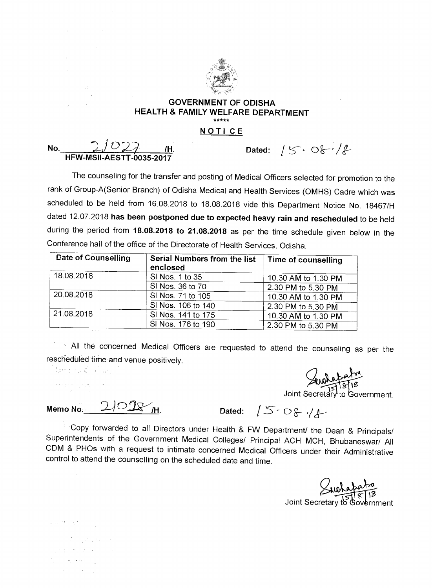

## **GOVERNMENT OF ODISHA HEALTH & FAMILY WELFARE DEPARTMENT NOTI CE**

**No.** 2/027 H. Dated:  $/5.08.4$ **HFW-MSII-AESTT-0035-2017** 

The counseling for the transfer and posting of Medical Officers selected for promotion to the rank of Group-A(Senior Branch) of Odisha Medical and Health Services (OMHS) Cadre which was scheduled to be held from 16.08.2018 to 18.08.2018 vide this Department Notice No. 18467/H dated 12.07.2018 **has been postponed due to expected heavy rain and rescheduled** to be held during the period from **18.08.2018 to 21.08.2018** as per the time schedule given below in the Conference hall of the office of the Directorate of Health Services, Odisha.

| <b>Date of Counselling</b> | Serial Numbers from the list<br>enclosed | Time of counselling |
|----------------------------|------------------------------------------|---------------------|
| 18.08.2018                 | SI Nos. 1 to 35                          | 10.30 AM to 1.30 PM |
|                            | SI Nos. 36 to 70                         | 2.30 PM to 5.30 PM  |
| 20.08.2018                 | SI Nos. 71 to 105                        | 10.30 AM to 1.30 PM |
|                            | SI Nos. 106 to 140                       | 2.30 PM to 5.30 PM  |
| 21.08.2018                 | SI Nos. 141 to 175                       | 10.30 AM to 1.30 PM |
|                            | SI Nos. 176 to 190                       | 2.30 PM to 5.30 PM  |

All the concerned Medical Officers are requested to attend the counseling as per the rescheduled time and venue positively.

如何可能可能。

 $\label{eq:1} \frac{1}{\sqrt{2}}\sum_{i=1}^n\frac{1}{\sqrt{2}}\sum_{i=1}^n\frac{1}{\sqrt{2}}\sum_{i=1}^n\frac{1}{\sqrt{2}}\sum_{i=1}^n\frac{1}{\sqrt{2}}\sum_{i=1}^n\frac{1}{\sqrt{2}}\sum_{i=1}^n\frac{1}{\sqrt{2}}\sum_{i=1}^n\frac{1}{\sqrt{2}}\sum_{i=1}^n\frac{1}{\sqrt{2}}\sum_{i=1}^n\frac{1}{\sqrt{2}}\sum_{i=1}^n\frac{1}{\sqrt{2}}\sum_{i=1}^n\frac{1$ 

Seventation<br>Joint Secretary to Government.

 $Memo No.$  2/028 /H. Dated:  $/5.08$ //

Copy forwarded to all Directors under Health & FW Department/ the Dean & Principals/ Superintendents of the Government Medical Colleges/ Principal ACH MCH, Bhubaneswar/ All CDM & PHOs with a request to intimate concerned Medical Officers under their Administrative control to attend the counselling on the scheduled date and time.

Joint Secretary to Government

 $\mathcal{F}$  and  $\mathcal{F}$  are  $\mathcal{F}$  .  $\chi$  and  $\chi$  is the distribution of  $\label{eq:2.1} \mathcal{L}=\frac{1}{2}\left(\frac{1}{2}\left(1-\frac{1}{2}\right)\right)\left(\frac{1}{2}\left(1-\frac{1}{2}\right)\right)\left(\frac{1}{2}\left(1-\frac{1}{2}\right)\right)\left(\frac{1}{2}\left(1-\frac{1}{2}\right)\right).$ 

 $\mathcal{L}(\mathcal{A})$  ,  $\mathcal{L}(\mathcal{A})$  ,  $\mathcal{L}(\mathcal{A})$  ,